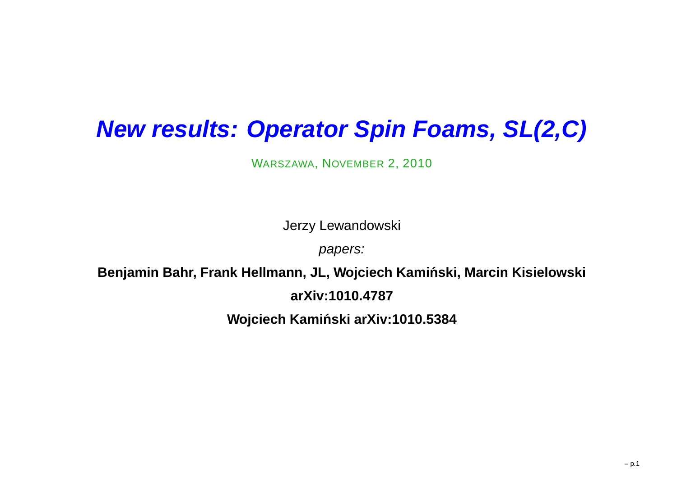# **New results: Operator Spin Foams, SL(2,C)**

WARSZAWA, NOVEMBER 2, <sup>2010</sup>

Jerzy Lewandowski

papers:

**Benjamin Bahr, Frank Hellmann, JL, Wojciech Kaminski, Marcin Kisielowski ´**

**arXiv:1010.4787**

**Wojciech Kaminski arXiv:1010.5384 ´**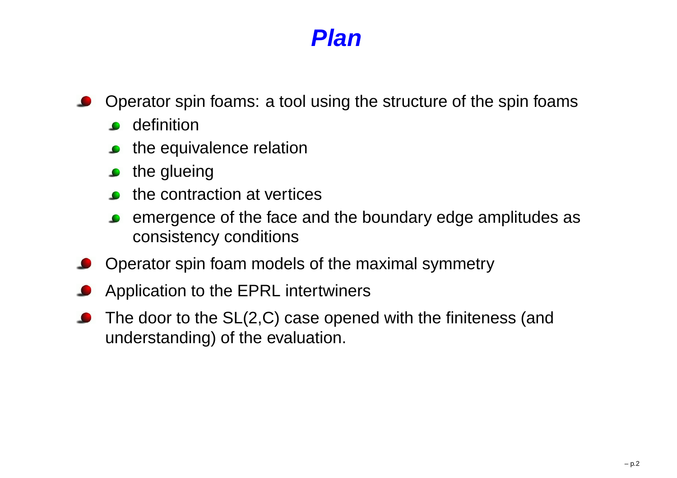#### **Plan**

- Operator spin foams: <sup>a</sup> tool using the structure of the spin foams $\bullet$ 
	- **o** definition
	- the equivalence relation
	- $\bullet$  the glueing
	- $\bullet$  the contraction at vertices
	- emergence of the face and the boundary edge amplitudes asconsistency conditions
- Operator spin foam models of the maximal symmetry
- Application to the EPRL intertwiners
- The door to the SL(2,C) case opened with the finiteness (andunderstanding) of the evaluation.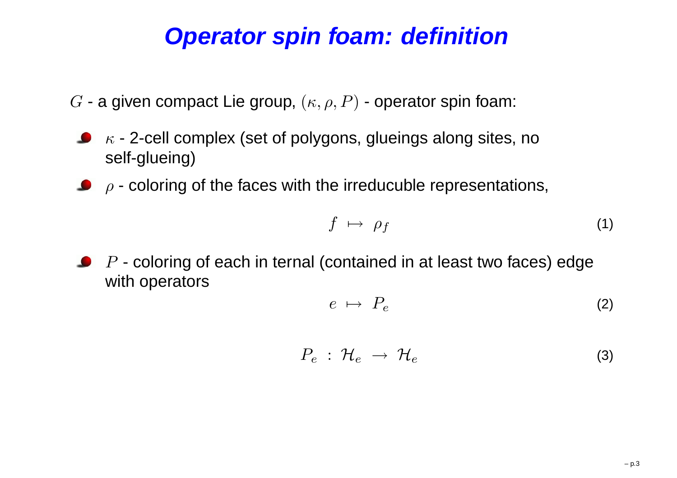# **Operator spin foam: definition**

- $G$  a given compact Lie group,  $(\kappa,\rho,P)$  operator spin foam:
- $\kappa$  2-cell complex (set of polygons, glueings along sites, no self-glueing)
- $\rho$  coloring of the faces with the irreducuble representations,

$$
f \mapsto \rho_f \tag{1}
$$

 $P$  - coloring of each in ternal (contained in at least two faces) edge with operators

$$
e \ \mapsto \ P_e \tag{2}
$$

$$
P_e: \mathcal{H}_e \rightarrow \mathcal{H}_e \tag{3}
$$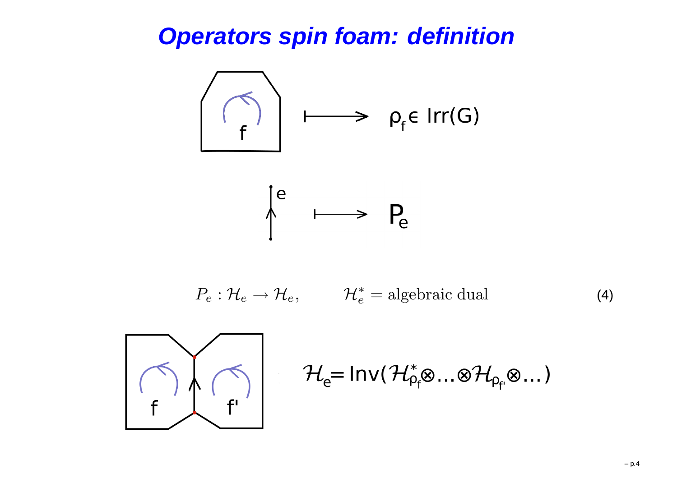### **Operators spin foam: definition**



$$
P_e: \mathcal{H}_e \to \mathcal{H}_e, \qquad \mathcal{H}_e^* = \text{algebraic dual}
$$
 (4)



$$
\mathcal{H}_e = Inv(\mathcal{H}_{\rho_f}^* \otimes ... \otimes \mathcal{H}_{\rho_f} \otimes ...)
$$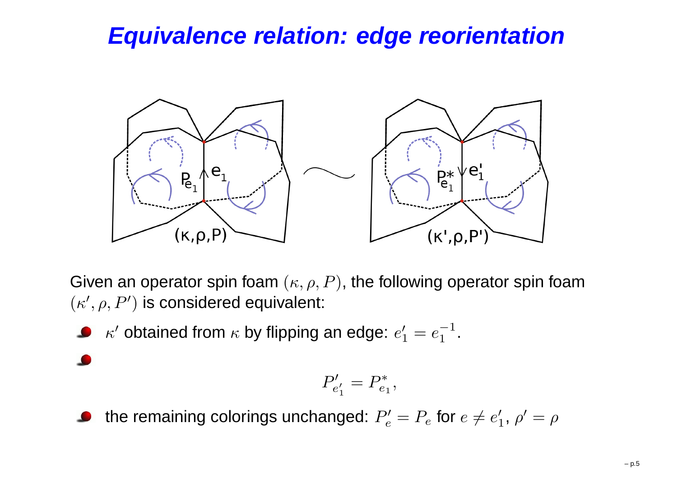# **Equivalence relation: edge reorientation**



Given an operator spin foam  $(\kappa, \rho, P)$ , the following operator spin foam  $(\kappa^{\prime},\rho,P^{\prime})$  is considered equivalent:

 $\kappa'$  obtained from  $\kappa$  by flipping an edge:  $e_1'=e_1^-$ 11.

$$
f_{\rm{max}}
$$

the remaining colorings unchanged:  $P'_e = P_e$  for  $e \neq e'_1$ ,  $\rho' = \rho$ 

 $P_{e_{1}^{\prime}}^{\prime}$ 

 $= P_*^*$ 

 $e_1\,{}^,$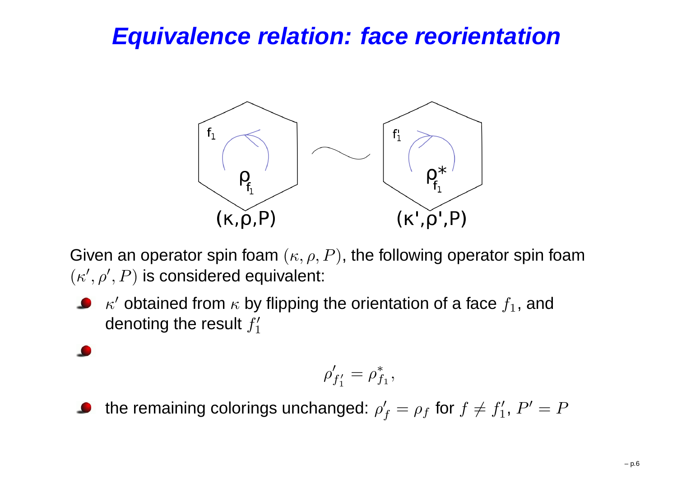# **Equivalence relation: face reorientation**



Given an operator spin foam  $(\kappa, \rho, P)$ , the following operator spin foam  $(\kappa',\rho',P)$  is considered equivalent:

 $\kappa'$  obtained from  $\kappa$  by flipping the orientation of a face  $f_1$ , and denoting the result  $f_1^\prime$ 

$$
\rho'_{f'_1} = \rho^*_{f_1},
$$

the remaining colorings unchanged:  $\rho'_{f}=\rho_{f}$  for  $f\neq f'_{1}$ ,  $P'=P$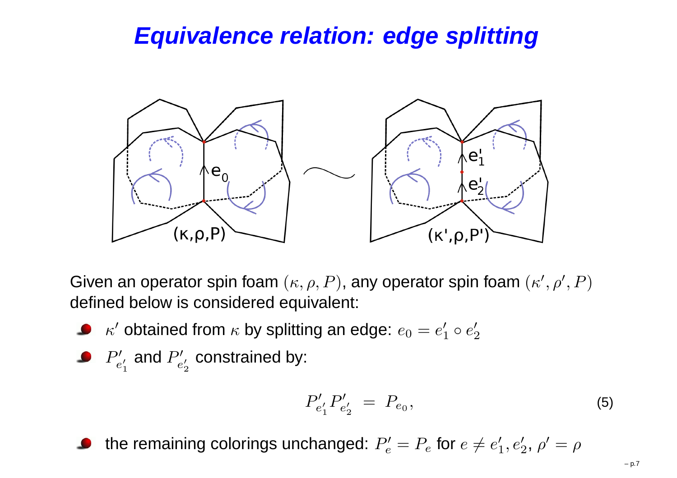# **Equivalence relation: edge splitting**



Given an operator spin foam  $(\kappa, \rho, P)$ , any operator spin foam  $(\kappa', \rho', P)$ defined below is considered equivalent:

- $\kappa'$  obtained from  $\kappa$  by splitting an edge:  $e_0=e_1'\circ e_2'$
- $P^{\prime}_{e'_1}$  and  $P^{\prime}_{e'_2}$  co and  $P_{e'_{2}}'$  constrained by:

$$
P'_{e'_1} P'_{e'_2} = P_{e_0}, \t\t(5)
$$

the remaining colorings unchanged:  $P'_e = P_e$  for  $e \neq e'_1, e'_2, \, \rho' = \rho$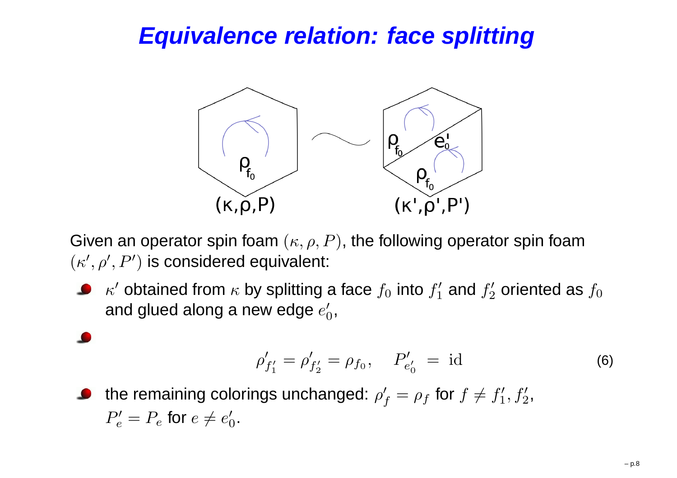# **Equivalence relation: face splitting**



Given an operator spin foam  $(\kappa, \rho, P)$ , the following operator spin foam  $(\kappa',\rho',P')$  is considered equivalent:

 $\kappa'$  obtained from  $\kappa$  by splitting a face  $f_0$  into  $f_1'$ and glued along a new edge  $e_0^\prime,$  $j_1^{\prime}$  and  $f_2^{\prime}$  $j_2^{\prime}$  oriented as  $f_0$ 

$$
\rho'_{f'_1} = \rho'_{f'_2} = \rho_{f_0}, \quad P'_{e'_0} = \text{id}
$$
 (6)

the remaining colorings unchanged:  $\rho'_{f}=\rho_{f}$  for  $f\neq f'_{1}$  $_1^\prime,f_2^\prime,$  $P'_e=P_e$  for  $e\neq e'_0.$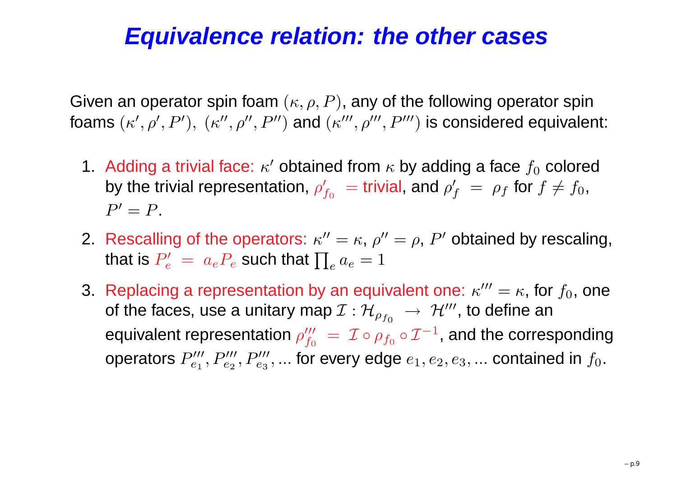## **Equivalence relation: the other cases**

Given an operator spin foam  $(\kappa, \rho, P)$ , any of the following operator spin foams  $(\kappa',\rho',P'),\ (\kappa'',\rho'',P'')$  and  $(\kappa''',\rho''',P''')$  is considered equivalent:

- 1 Adding a trivial face:  $\kappa'$  obtained from  $\kappa$  by adding a face  $f_0$  colored by the trivial representation,  $\rho'_{f_0}\ =$  t  $=$  trivial, and  $\rho'_{f}$   $=$   $\rho_{f}$  for  $f \neq f_{0}$ ,  $P'=P$  .
- 2. Rescalling of the operators:  $\kappa''=\kappa,$   $\rho''=\rho,$   $P'$  obtained by rescaling, that is  $P'_e\ =\ a_eP_e$  such that  $\prod_e a_e=1$
- 3. Replacing a representation by an equivalent one:  $\kappa'''=\kappa$ , for  $f_0$ , one of the faces, use a unitary map  $\mathcal{I}:\mathcal{H}_{\rho_{f_0}}\ \to\ \mathcal{H}'''$ , to de equivalent representation  $\rho_{f_0}^{\prime\prime\prime}\ =\ \mathcal{I}\circ\rho_f$  $\;\rightarrow\; {\cal H}^{\prime\prime\prime},$  to define an operators  $P_{e_1}''' , P_{e_2}''' , P_{e_3}''' , ...$  for every edge  $e_1, e_2, e_3, ...$  contained in  $f_0.$  $= \mathcal{I} \circ \rho_{f_0}$  $\mathcal{I}_0 \circ \mathcal{I}^ ^{\rm 1}$ , and the corresponding  $e_2^{\prime\prime\prime}, P_{e_3}^{\prime\prime\prime}$  $e_{e_3}^{\prime\prime\prime},...$  for every edge  $e_1,e_2,e_3,...$  contained in  $f_0.$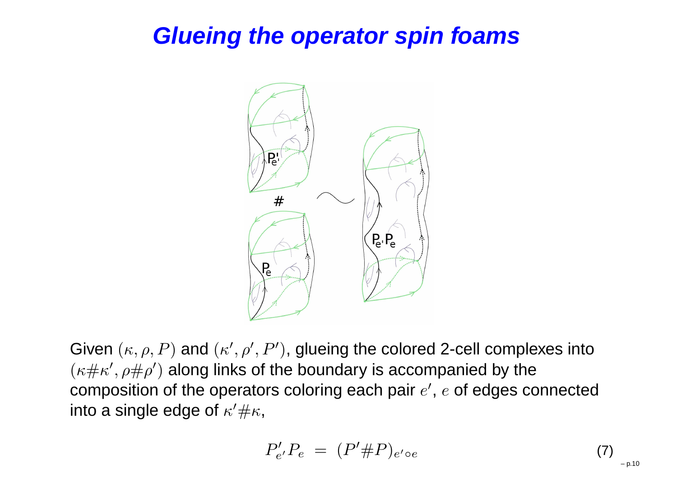# **Glueing the operator spin foams**



Given  $(\kappa, \rho, P)$  and  $(\kappa', \rho', P')$ , glueing the colored 2-cell complexes into  $(\kappa\#\kappa',\rho\#\rho')$  along links of the boundary is accompanied by the composition of the operators coloring each pair  $e^{\prime },\,e$  of edges connected into a single edge of  $\kappa'\# \kappa,$ 

$$
P'_{e'}P_e = (P'\#P)_{e' \circ e} \tag{7}
$$

– p.10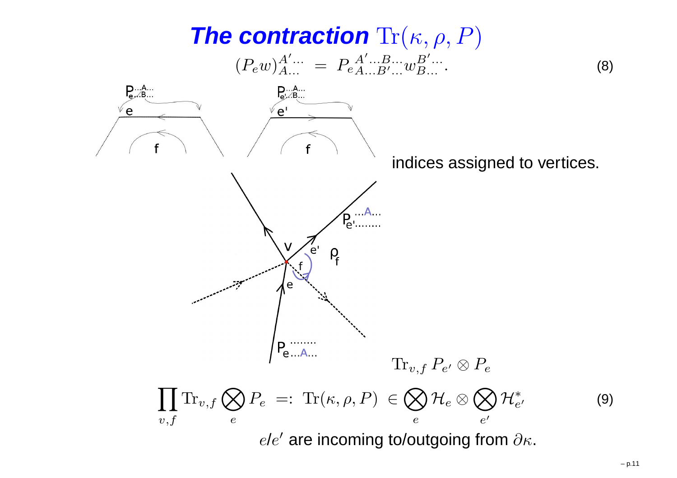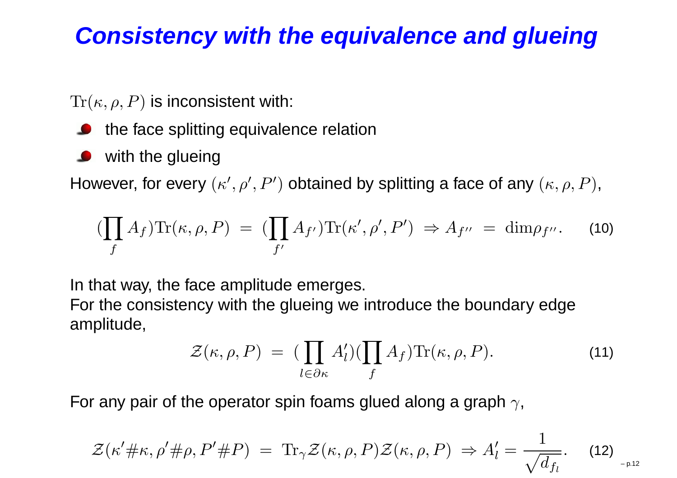# **Consistency with the equivalence and glueing**

 $\text{Tr}(\kappa,\rho,P)$  is inconsistent with:

- the face splitting equivalence relation
- with the glueing

However, for every  $(\kappa',\rho',P')$  obtained by splitting a face of any  $(\kappa,\rho,P),$ 

$$
(\prod_{f} A_{f}) \text{Tr}(\kappa, \rho, P) = (\prod_{f'} A_{f'}) \text{Tr}(\kappa', \rho', P') \Rightarrow A_{f''} = \dim \rho_{f''}. \tag{10}
$$

In that way, the face amplitude emerges.

For the consistency with the glueing we introduce the boundary edgeamplitude,

$$
\mathcal{Z}(\kappa,\rho,P) = \left(\prod_{l \in \partial \kappa} A'_l\right) \left(\prod_f A_f\right) \text{Tr}(\kappa,\rho,P). \tag{11}
$$

For any pair of the operator spin foams glued along a graph  $\gamma,$ 

$$
\mathcal{Z}(\kappa'\#\kappa,\rho'\#\rho,P'\#P) \ = \ \operatorname{Tr}_{\gamma}\mathcal{Z}(\kappa,\rho,P)\mathcal{Z}(\kappa,\rho,P) \ \Rightarrow \ A'_l = \frac{1}{\sqrt{d_{f_l}}}.\tag{12}_{\text{--p.12}}
$$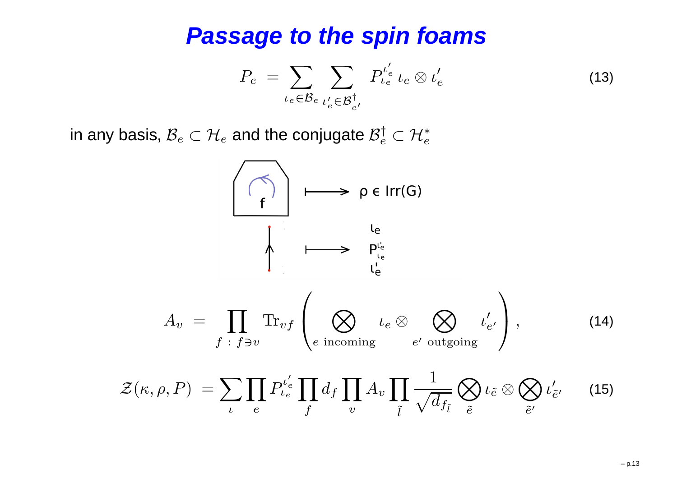#### **Passage to the spin foams**

$$
P_e = \sum_{\iota_e \in \mathcal{B}_e} \sum_{\iota'_e \in \mathcal{B}^{\dagger}_{e'}} P^{\iota'_e}_{\iota_e} \iota_e \otimes \iota'_e \tag{13}
$$

in any basis,  $\mathcal{B}_e$  $e \subset \mathcal{H}$  $_e$  and the conjugate  $\mathcal{B}^\dagger_e$  $e^{\dagger} \subset \mathcal{H}^*_e$ e

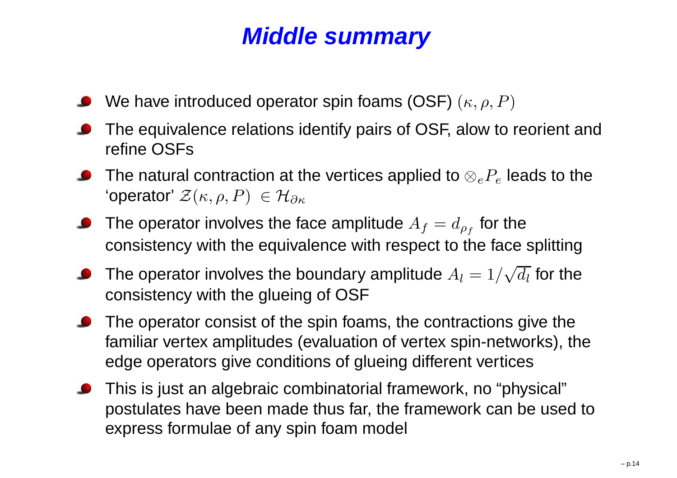# **Middle summary**

- We have introduced operator spin foams (OSF)  $(\kappa, \rho, P)$
- The equivalence relations identify pairs of OSF, alow to reorient andrefine OSFs
- The natural contraction at the vertices applied to  $\otimes_e P_e$  leads to the 'operator'  $\mathcal{Z}(\kappa,\rho,P) \ \in \mathcal{H}_{\partial \kappa}$
- The operator involves the face amplitude  $A_f=d_{\rho_f}$  for the consistency with the equivalence with respect to the face splitting
- The operator involves the boundary amplitude  $A_l = 1/\sqrt{d_l}$  for the consistency with the glueing of OSF
- **•** The operator consist of the spin foams, the contractions give the familiar vertex amplitudes (evaluation of vertex spin-networks), theedge operators give conditions of glueing different vertices
- This is just an algebraic combinatorial framework, no "physical" postulates have been made thus far, the framework can be used to express formulae of any spin foam model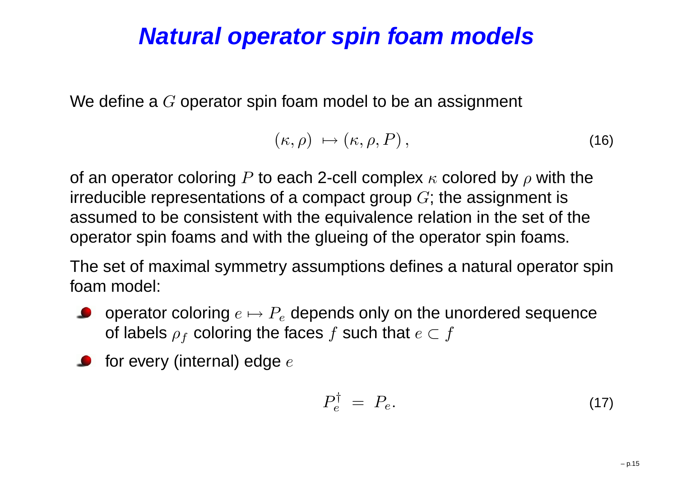## **Natural operator spin foam models**

We define a  $G$  operator spin foam model to be an assignment

$$
(\kappa,\rho) \mapsto (\kappa,\rho,P)\,,\tag{16}
$$

of an operator coloring  $P$  to each 2-cell complex  $\kappa$  colored by  $\rho$  with the irreducible representations of a compact group  $G;$  the assignment is assumed to be consistent with the equivalence relation in the set of theoperator spin foams and with the glueing of the operator spin foams.

The set of maximal symmetry assumptions defines <sup>a</sup> natural operator spinfoam model:

- operator coloring  $e\mapsto P_e$  depends only on the unordered sequence  $\bullet$ of labels  $\rho_f$  coloring the faces  $f$  such that  $e\subset f$
- for every (internal) edge  $e$

$$
P_e^{\dagger} = P_e. \tag{17}
$$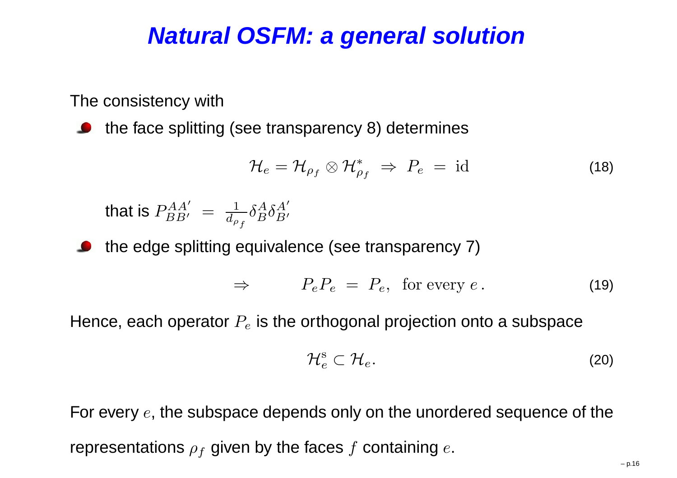## **Natural OSFM: <sup>a</sup> general solution**

The consistency with

the face splitting (see transparency 8) determines

$$
\mathcal{H}_e = \mathcal{H}_{\rho_f} \otimes \mathcal{H}_{\rho_f}^* \Rightarrow P_e = \text{id}
$$
 (18)

that is  $P_{BB'}^{AA'}$   $=$ 1 $d_{\rho}{}_f$  $\delta$ A $^A_B\delta$  $\bm A$  $\mathop{B'}\limits'$ 

the edge splitting equivalence (see transparency 7)

$$
\Rightarrow \qquad P_e P_e = P_e, \text{ for every } e. \tag{19}
$$

Hence, each operator  $P_e$  is the orthogonal projection onto a subspace

$$
\mathcal{H}_e^{\rm s}\subset\mathcal{H}_e.\tag{20}
$$

For every  $e,$  the subspace depends only on the unordered sequence of the representations  $\rho_f$  given by the faces  $f$  containing  $e.$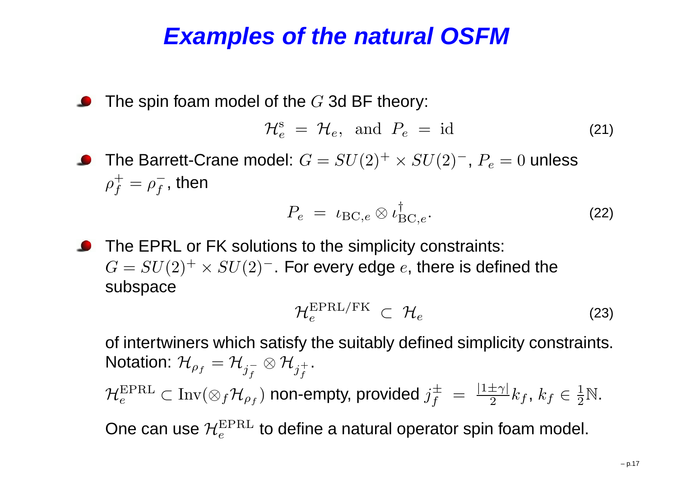#### **Examples of the natural OSFM**

The spin foam model of the  $G$  3d BF theory:

$$
\mathcal{H}_e^{\rm s} = \mathcal{H}_e, \text{ and } P_e = \text{id} \tag{21}
$$

The Barrett-Crane model:  $G=SU(2)^+\times SU(2)^-$ ,  $P_e = 0$  unless ρ $\, + \,$  $f^-_f=\rho^-_f$  $\overline{f}$ , then

$$
P_e = \iota_{\text{BC},e} \otimes \iota_{\text{BC},e}^{\dagger}.
$$
 (22)

**O** The EPRL or FK solutions to the simplicity constraints:  $G=SU(2)^+\times SU(2)^-$ . For every edge  $e,$  there is defined the subspace

$$
\mathcal{H}_e^{\text{EPRL/FK}} \subset \mathcal{H}_e \tag{23}
$$

of intertwiners which satisfy the suitably defined simplicity constraints. Notation:  $\mathcal{H}_{\rho_f}=\mathcal{H}$  $_{j_{f}^{-}}\otimes\mathcal{H}_{j_{f}^{+}}$  $\mathcal{H}_e^{\text{EPRL}}\subset \text{Inv}(\otimes_f\mathcal{H}_{\rho_f})$  non-empty, provided  $j_f^\pm$  $\stackrel{\text{\tiny{+}}}{f}$ .  $\frac{\pm}{f}~=~\frac{\mid1}{\mid}$  $\pm$  $\frac{\pm \gamma}{2}k_f, \, k_f \in \frac{1}{2}$  $\frac{1}{2}\mathbb{N}$ .

One can use  $\mathcal{H}_e^{\rm EPRL}$  to define a natural operator spin foam model.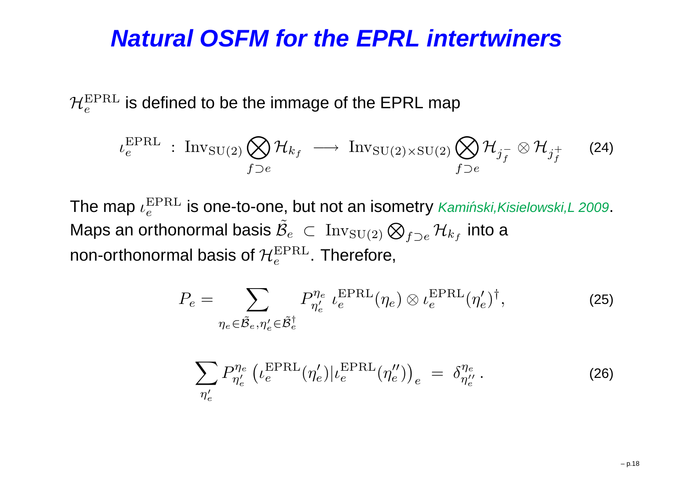#### **Natural OSFM for the EPRL intertwiners**

 $\mathcal{H}_e^{\rm EPRL}$  is defined to be the immage of the EPRL map

$$
\iota_e^{\text{EPRL}} : \text{Inv}_{\text{SU(2)}} \bigotimes_{f \supset e} \mathcal{H}_{k_f} \longrightarrow \text{Inv}_{\text{SU(2)} \times \text{SU(2)}} \bigotimes_{f \supset e} \mathcal{H}_{j_f^-} \otimes \mathcal{H}_{j_f^+}
$$
 (24)

The map  $\iota_e^{\rm EPRL}$  is one-to-one, but not an isometry *Kamiński,Kisielowski,L* 2009. Maps an orthonormal basis  $\tilde{\mathcal{B}}_e \subset \mathrm{Inv}_{\mathrm{SU}(2)} \bigotimes_{f \supset e} \mathcal{H}_{k_f}$  into a non-orthonormal basis of  $\mathcal{H}_e^{\rm EPRL}$ . Therefore,

$$
P_e = \sum_{\eta_e \in \tilde{\mathcal{B}}_e, \eta'_e \in \tilde{\mathcal{B}}_e^{\dagger}} P_{\eta'_e}^{\eta_e} \iota_e^{\text{EPRL}}(\eta_e) \otimes \iota_e^{\text{EPRL}}(\eta'_e)^{\dagger}, \tag{25}
$$

$$
\sum_{\eta'_e} P_{\eta'_e}^{\eta_e} \left( \iota_e^{\text{EPRL}}(\eta'_e) | \iota_e^{\text{EPRL}}(\eta''_e) \right)_e = \delta_{\eta''_e}^{\eta_e} . \tag{26}
$$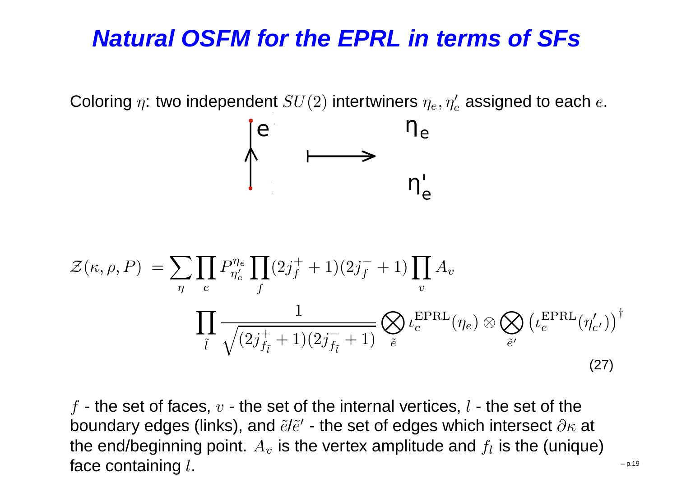# **Natural OSFM for the EPRL in terms of SFs**

Coloring  $\eta$ : two independent  $SU(2)$  intertwiners  $\eta_e,\eta'_e$  assigned to each  $e.$ 



$$
\mathcal{Z}(\kappa,\rho,P) = \sum_{\eta} \prod_{e} P_{\eta'_e}^{\eta_e} \prod_{f} (2j_f^+ + 1)(2j_f^- + 1) \prod_{v} A_v
$$
\n
$$
\prod_{\tilde{l}} \frac{1}{\sqrt{(2j_{f_{\tilde{l}}}^+ + 1)(2j_{f_{\tilde{l}}}^- + 1)}} \bigotimes_{\tilde{e}} \iota_e^{\text{EPRL}}(\eta_e) \otimes \bigotimes_{\tilde{e}'} \left(\iota_e^{\text{EPRL}}(\eta'_{e'})\right)^{\dagger}
$$
\n(27)

 $f$  - the set of faces,  $v$  - the set of the internal vertices,  $l$  - the set of the boundary edges (links), and  $\tilde e\ell\tilde e^\prime$  - the set of edges which intersect  $\partial\kappa$ the end/beginning point.  $A_v$  is the set of edges which intersect  $\partial \kappa$  at  $_{v}$  is the vertex amplitude and  $f_{l}$  is the (unique) face containing  $l$ .  $\mathbf{g}$  l.  $\blacksquare$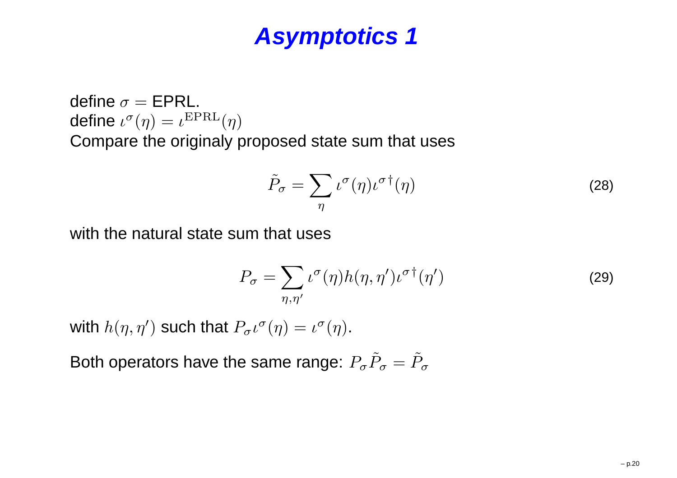define  $\sigma = \textsf{EPRL}.$  $\mathsf{define}~ \iota^\sigma(\eta) = \iota^{\mathrm{EPRL}}(\eta)$ Compare the originaly proposed state sum that uses

$$
\tilde{P}_{\sigma} = \sum_{\eta} \iota^{\sigma}(\eta) \iota^{\sigma \dagger}(\eta) \tag{28}
$$

with the natural state sum that uses

$$
P_{\sigma} = \sum_{\eta,\eta'} \iota^{\sigma}(\eta) h(\eta,\eta') \iota^{\sigma \dagger}(\eta')
$$
 (29)

with  $h(\eta, \eta')$  such that  $P_{\sigma} \iota^{\sigma}(\eta) = \iota^{\sigma}(\eta)$ .

Both operators have the same range:  $P_{\sigma}\tilde{P}_{\sigma}=\tilde{P}_{\sigma}$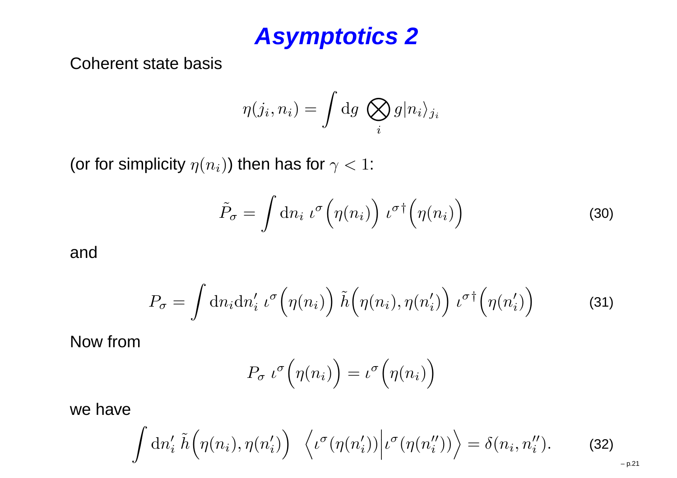Coherent state basis

$$
\eta(j_i, n_i) = \int dg \; \bigotimes_i g |n_i\rangle_{j_i}
$$

(or for simplicity  $\eta(n_i)$ ) then has for  $\gamma < 1$ :

$$
\tilde{P}_{\sigma} = \int \mathrm{d}n_i \,\iota^{\sigma} \Big( \eta(n_i) \Big) \,\iota^{\sigma \dagger} \Big( \eta(n_i) \Big) \tag{30}
$$

and

$$
P_{\sigma} = \int \mathrm{d}n_i \mathrm{d}n'_i \,\iota^{\sigma}\Big(\eta(n_i)\Big) \,\tilde{h}\Big(\eta(n_i), \eta(n'_i)\Big) \,\iota^{\sigma\dagger}\Big(\eta(n'_i)\Big) \tag{31}
$$

Now from

$$
P_{\sigma} \iota^{\sigma} \Big( \eta(n_i) \Big) = \iota^{\sigma} \Big( \eta(n_i) \Big)
$$

we have

$$
\int dn_i' \tilde{h}(\eta(n_i), \eta(n_i')) \langle \iota^{\sigma}(\eta(n_i')) | \iota^{\sigma}(\eta(n_i'')) \rangle = \delta(n_i, n_i'').
$$
 (32)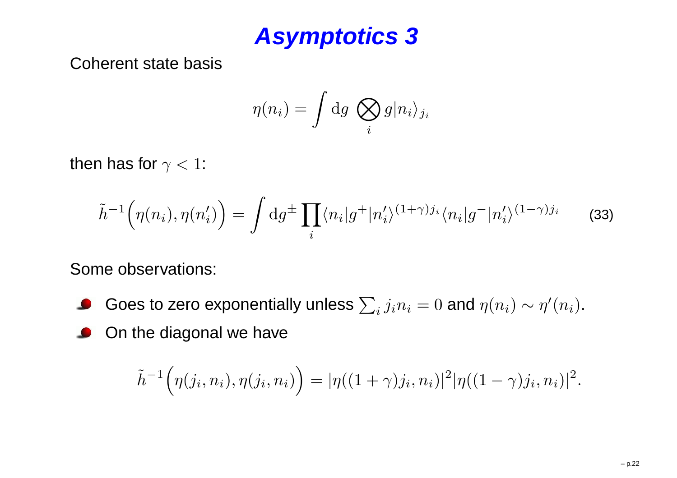Coherent state basis

$$
\eta(n_i) = \int dg \bigotimes_i g|n_i\rangle_{j_i}
$$

then has for  $\gamma < 1$ :

$$
\tilde{h}^{-1}(\eta(n_i), \eta(n'_i)) = \int dg^{\pm} \prod_i \langle n_i | g^+ | n'_i \rangle^{(1+\gamma)j_i} \langle n_i | g^- | n'_i \rangle^{(1-\gamma)j_i} \tag{33}
$$

Some observations:

- Goes to zero exponentially unless  $\sum_i j_i n_i = 0$  and  $\eta(n_i) \sim \eta'(n_i).$
- On the diagonal we have $\bullet$

$$
\tilde{h}^{-1}(\eta(j_i, n_i), \eta(j_i, n_i)) = |\eta((1+\gamma)j_i, n_i)|^2 |\eta((1-\gamma)j_i, n_i)|^2.
$$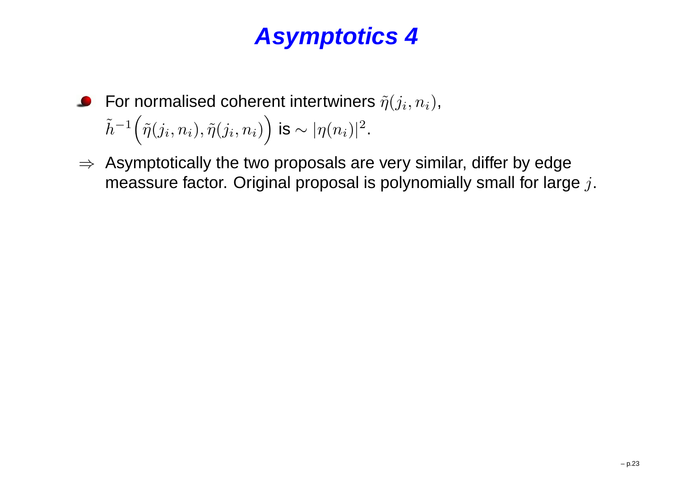- For normalised coherent intertwiners  $\tilde{\eta}(j_i,n_i),$  $\tilde{h}^{-1}\Big(\tilde{\eta}(j_i,n_i),\tilde{\eta}(j_i,n_i)\Big)$  is  $\sim |\eta(n_i)|^2$ .
- $⇒$  Asymptotically the two proposals are very similar, differ by edge<br>meassure factor. Original proposal is polynomially small for larg meassure factor. Original proposal is polynomially small for large  $j.$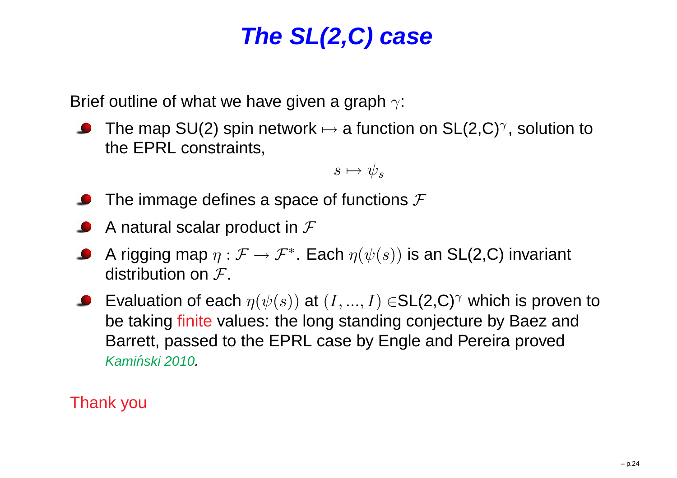# **The SL(2,C) case**

Brief outline of what we have given a graph  $\gamma$ :

The map SU(2) spin network  $\mapsto$  a function on SL(2,C)<sup>γ</sup>, solution to<br>the FPRL constraints the EPRL constraints,

$$
s \mapsto \psi_s
$$

- The immage defines a space of functions  ${\cal F}$
- A natural scalar product in  ${\cal F}$
- A rigging map  $\eta:\mathcal{F}\to\mathcal{F}^*$ . Each  $\eta(\psi(s))$  is an SL(2,C) invariant<br>distribution on  $\mathcal{T}$ distribution on  ${\cal F}.$
- Evaluation of each  $\eta(\psi(s))$  at  $(I,...,I)$   $\in$ SL(2,C) $^\gamma$  which is proven to be taking finite values: the long standing conjecture by Baez and Barrett, passed to the EPRL case by Engle and Pereira provedKamiński 2010.

Thank you